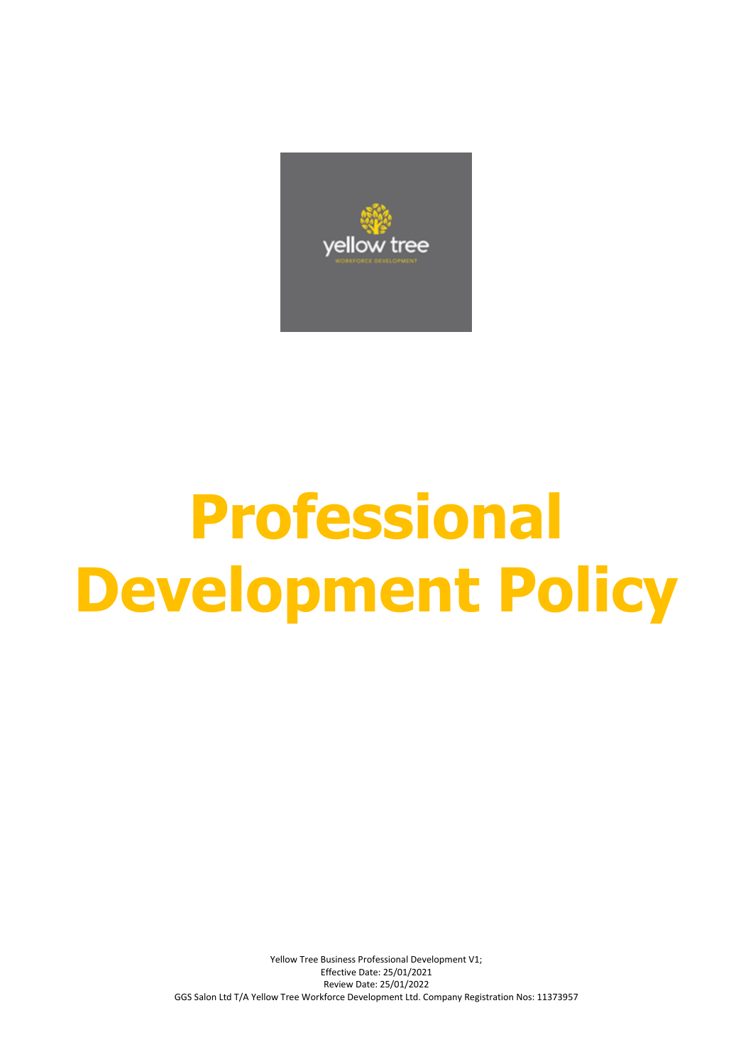

# **Professional Development Policy**

Yellow Tree Business Professional Development V1; Effective Date: 25/01/2021 Review Date: 25/01/2022 GGS Salon Ltd T/A Yellow Tree Workforce Development Ltd. Company Registration Nos: 11373957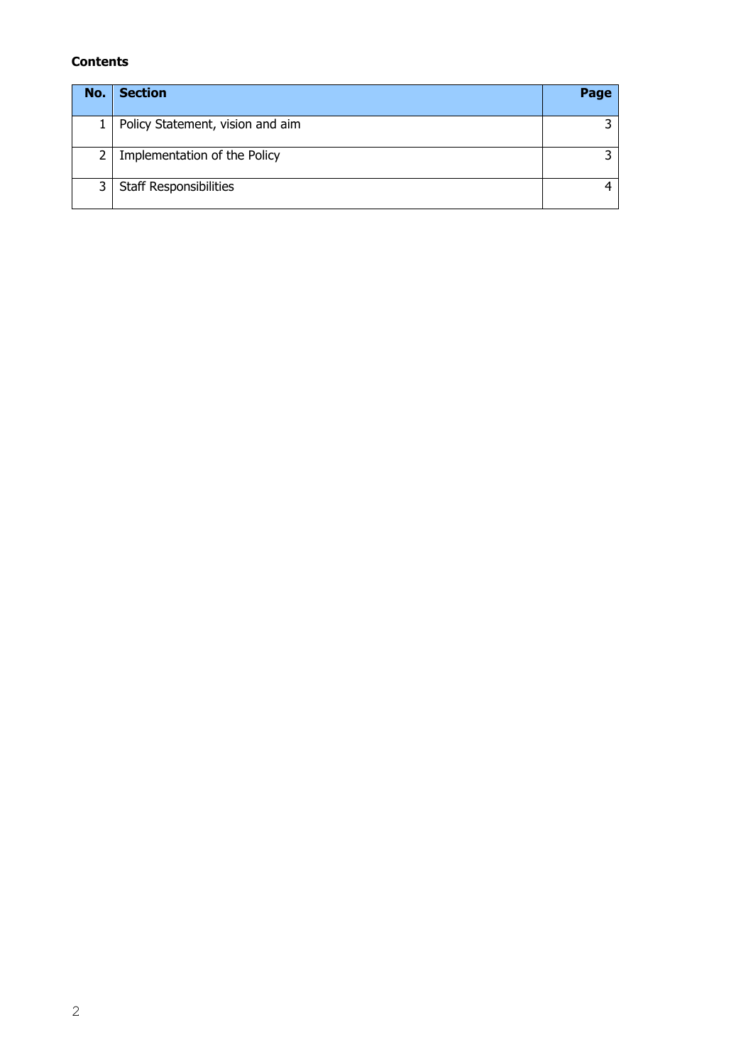# **Contents**

| No. | <b>Section</b>                   | Page |
|-----|----------------------------------|------|
|     | Policy Statement, vision and aim |      |
| 2   | Implementation of the Policy     |      |
| 3   | <b>Staff Responsibilities</b>    |      |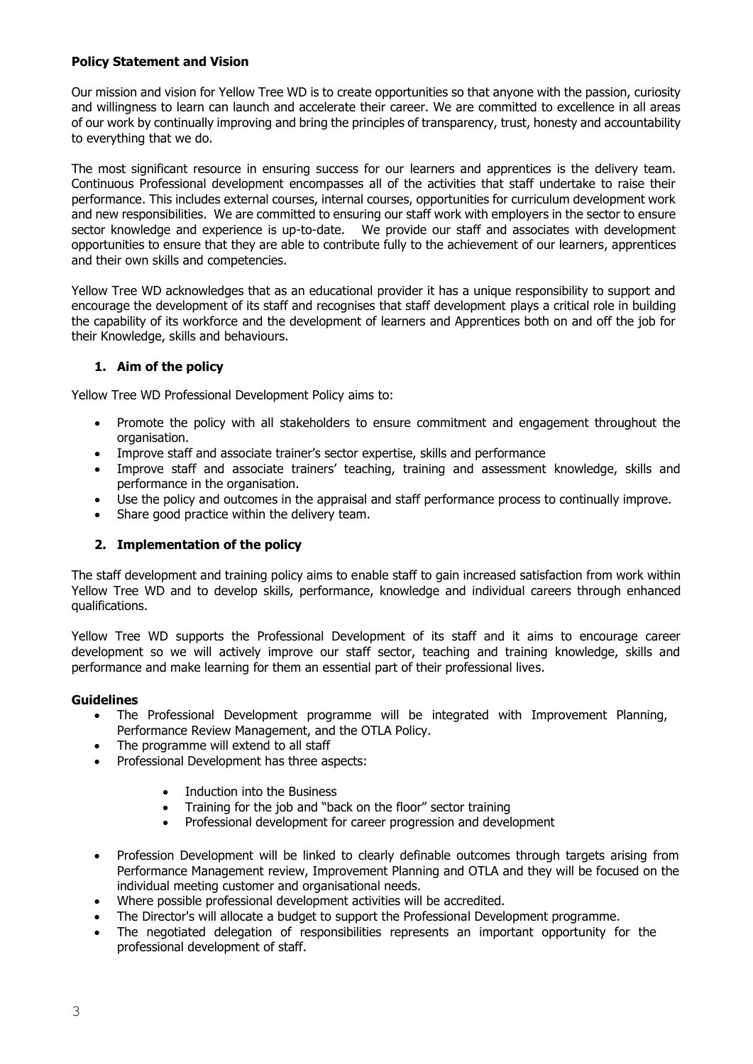# **Policy Statement and Vision**

Our mission and vision for Yellow Tree WD is to create opportunities so that anyone with the passion, curiosity and willingness to learn can launch and accelerate their career. We are committed to excellence in all areas of our work by continually improving and bring the principles of transparency, trust, honesty and accountability to everything that we do.

The most significant resource in ensuring success for our learners and apprentices is the delivery team. Continuous Professional development encompasses all of the activities that staff undertake to raise their performance. This includes external courses, internal courses, opportunities for curriculum development work and new responsibilities. We are committed to ensuring our staff work with employers in the sector to ensure sector knowledge and experience is up-to-date. We provide our staff and associates with development opportunities to ensure that they are able to contribute fully to the achievement of our learners, apprentices and their own skills and competencies.

Yellow Tree WD acknowledges that as an educational provider it has a unique responsibility to support and encourage the development of its staff and recognises that staff development plays a critical role in building the capability of its workforce and the development of learners and Apprentices both on and off the job for their Knowledge, skills and behaviours.

## **1. Aim of the policy**

Yellow Tree WD Professional Development Policy aims to:

- Promote the policy with all stakeholders to ensure commitment and engagement throughout the organisation.
- Improve staff and associate trainer's sector expertise, skills and performance
- Improve staff and associate trainers' teaching, training and assessment knowledge, skills and performance in the organisation.
- Use the policy and outcomes in the appraisal and staff performance process to continually improve.
- Share good practice within the delivery team.

#### **2. Implementation of the policy**

The staff development and training policy aims to enable staff to gain increased satisfaction from work within Yellow Tree WD and to develop skills, performance, knowledge and individual careers through enhanced qualifications.

Yellow Tree WD supports the Professional Development of its staff and it aims to encourage career development so we will actively improve our staff sector, teaching and training knowledge, skills and performance and make learning for them an essential part of their professional lives.

#### **Guidelines**

- The Professional Development programme will be integrated with Improvement Planning, Performance Review Management, and the OTLA Policy.
- The programme will extend to all staff
- Professional Development has three aspects:
	- Induction into the Business
	- Training for the job and "back on the floor" sector training
	- Professional development for career progression and development
- Profession Development will be linked to clearly definable outcomes through targets arising from Performance Management review, Improvement Planning and OTLA and they will be focused on the individual meeting customer and organisational needs.
- Where possible professional development activities will be accredited.
- The Director's will allocate a budget to support the Professional Development programme.
- The negotiated delegation of responsibilities represents an important opportunity for the professional development of staff.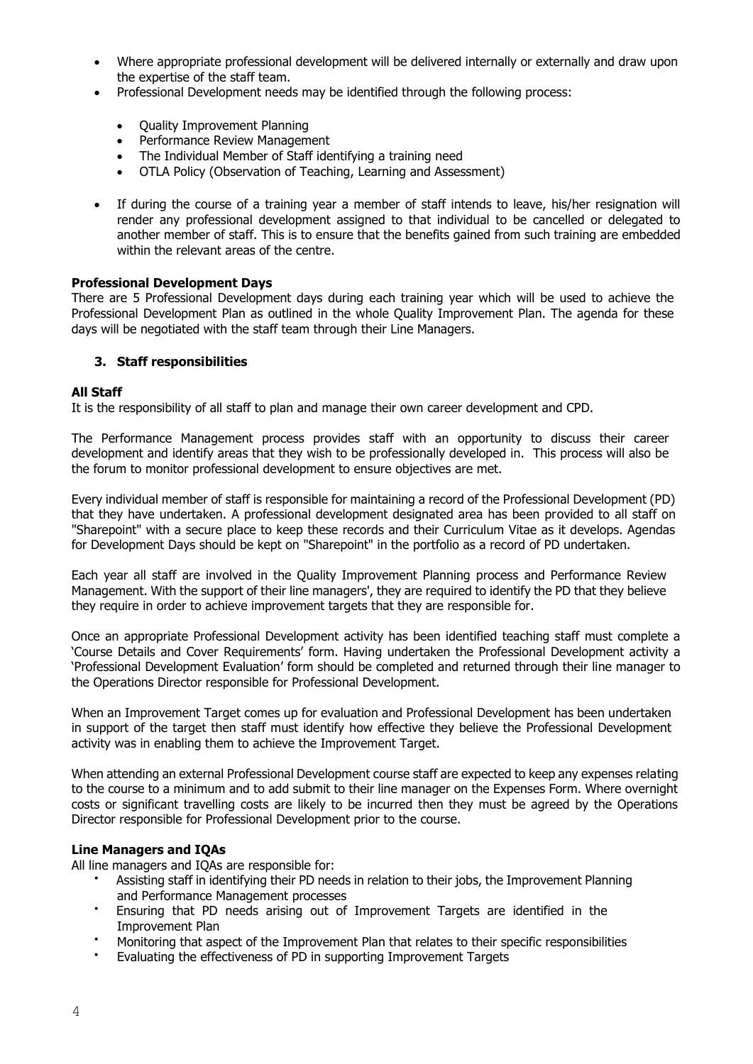- Where appropriate professional development will be delivered internally or externally and draw upon the expertise of the staff team.
- Professional Development needs may be identified through the following process:
	- Ouality Improvement Planning
	- Performance Review Management
	- The Individual Member of Staff identifying a training need
	- OTLA Policy (Observation of Teaching, Learning and Assessment)
- If during the course of a training year a member of staff intends to leave, his/her resignation will render any professional development assigned to that individual to be cancelled or delegated to another member of staff. This is to ensure that the benefits gained from such training are embedded within the relevant areas of the centre.

#### **Professional Development Days**

There are 5 Professional Development days during each training year which will be used to achieve the Professional Development Plan as outlined in the whole Quality Improvement Plan. The agenda for these days will be negotiated with the staff team through their Line Managers.

## **3. Staff responsibilities**

#### **All Staff**

It is the responsibility of all staff to plan and manage their own career development and CPD.

The Performance Management process provides staff with an opportunity to discuss their career development and identify areas that they wish to be professionally developed in. This process will also be the forum to monitor professional development to ensure objectives are met.

Every individual member of staff is responsible for maintaining a record of the Professional Development (PD) that they have undertaken. A professional development designated area has been provided to all staff on "Sharepoint" with a secure place to keep these records and their Curriculum Vitae as it develops. Agendas for Development Days should be kept on "Sharepoint" in the portfolio as a record of PD undertaken.

Each year all staff are involved in the Quality Improvement Planning process and Performance Review Management. With the support of their line managers', they are required to identify the PD that they believe they require in order to achieve improvement targets that they are responsible for.

Once an appropriate Professional Development activity has been identified teaching staff must complete a 'Course Details and Cover Requirements' form. Having undertaken the Professional Development activity a 'Professional Development Evaluation' form should be completed and returned through their line manager to the Operations Director responsible for Professional Development.

When an Improvement Target comes up for evaluation and Professional Development has been undertaken in support of the target then staff must identify how effective they believe the Professional Development activity was in enabling them to achieve the Improvement Target.

When attending an external Professional Development course staff are expected to keep any expenses relating to the course to a minimum and to add submit to their line manager on the Expenses Form. Where overnight costs or significant travelling costs are likely to be incurred then they must be agreed by the Operations Director responsible for Professional Development prior to the course.

#### **Line Managers and IQAs**

All line managers and IQAs are responsible for:

- Assisting staff in identifying their PD needs in relation to their jobs, the Improvement Planning and Performance Management processes
- Ensuring that PD needs arising out of Improvement Targets are identified in the Improvement Plan
- Monitoring that aspect of the Improvement Plan that relates to their specific responsibilities
- Evaluating the effectiveness of PD in supporting Improvement Targets